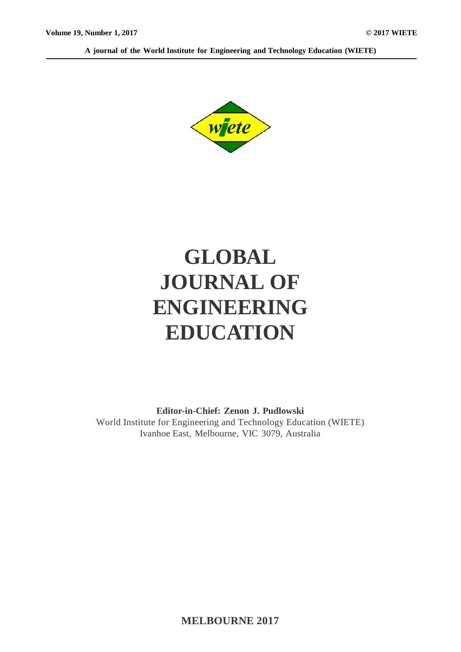**A journal of the World Institute for Engineering and Technology Education (WIETE)**



# **GLOBAL JOURNAL OF ENGINEERING EDUCATION**

**Editor-in-Chief: Zenon J. Pudlowski** World Institute for Engineering and Technology Education (WIETE) Ivanhoe East, Melbourne, VIC 3079, Australia

**MELBOURNE 2017**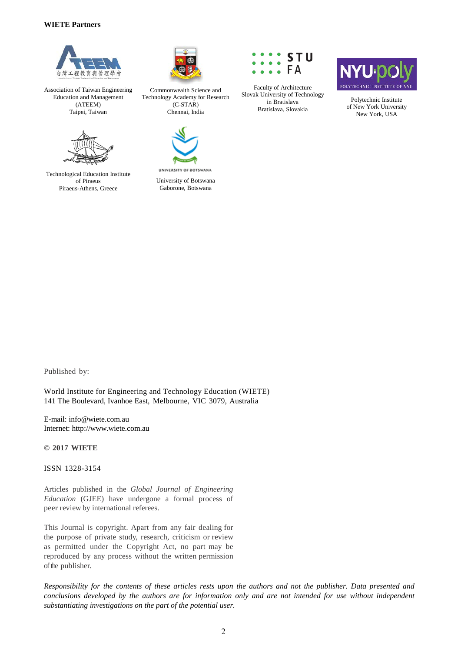#### **WIETE Partners**



Association of Taiwan Engineering Education and Management (ATEEM) Taipei, Taiwan



Technological Education Institute of Piraeus Piraeus-Athens, Greece



Commonwealth Science and Technology Academy for Research (C-STAR) Chennai, India



UNIVERSITY OF BOTSWANA University of Botswana Gaborone, Botswana



Faculty of Architecture Slovak University of Technology in Bratislava Bratislava, Slovakia



Polytechnic Institute of New York University New York, USA

Published by:

World Institute for Engineering and Technology Education (WIETE) 141 The Boulevard, Ivanhoe East, Melbourne, VIC 3079, Australia

E-mail: info@wiete.com.au Internet: http://www.wiete.com.au

**© 2017 WIETE**

ISSN 1328-3154

Articles published in the *Global Journal of Engineering Education* (GJEE) have undergone a formal process of peer review by international referees.

This Journal is copyright. Apart from any fair dealing for the purpose of private study, research, criticism or review as permitted under the Copyright Act, no part may be reproduced by any process without the written permission of the publisher.

*Responsibility for the contents of these articles rests upon the authors and not the publisher. Data presented and conclusions developed by the authors are for information only and are not intended for use without independent substantiating investigations on the part of the potential user.*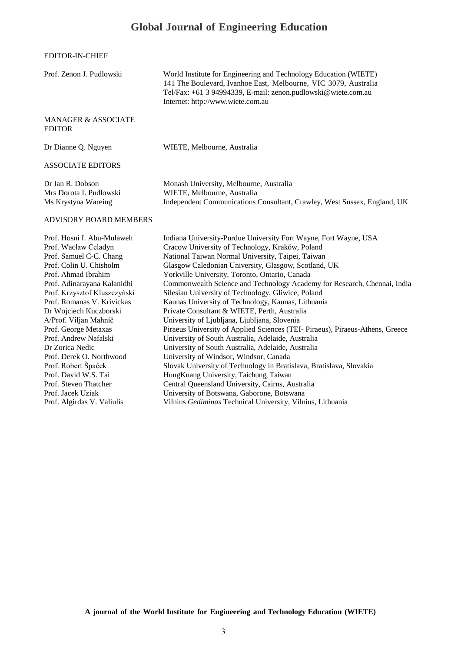## **Global Journal of Engineering Education**

EDITOR-IN-CHIEF

| Prof. Zenon J. Pudlowski                                                                                                                                                                                                                                                                                                                                                                                                                                                     | World Institute for Engineering and Technology Education (WIETE)<br>141 The Boulevard, Ivanhoe East, Melbourne, VIC 3079, Australia<br>Tel/Fax: +61 3 94994339, E-mail: zenon.pudlowski@wiete.com.au<br>Internet: http://www.wiete.com.au                                                                                                                                                                                                                                                                                                                                                                                                                                                                                                                                                                                                                                                                                                                                                                                            |
|------------------------------------------------------------------------------------------------------------------------------------------------------------------------------------------------------------------------------------------------------------------------------------------------------------------------------------------------------------------------------------------------------------------------------------------------------------------------------|--------------------------------------------------------------------------------------------------------------------------------------------------------------------------------------------------------------------------------------------------------------------------------------------------------------------------------------------------------------------------------------------------------------------------------------------------------------------------------------------------------------------------------------------------------------------------------------------------------------------------------------------------------------------------------------------------------------------------------------------------------------------------------------------------------------------------------------------------------------------------------------------------------------------------------------------------------------------------------------------------------------------------------------|
| <b>MANAGER &amp; ASSOCIATE</b><br><b>EDITOR</b>                                                                                                                                                                                                                                                                                                                                                                                                                              |                                                                                                                                                                                                                                                                                                                                                                                                                                                                                                                                                                                                                                                                                                                                                                                                                                                                                                                                                                                                                                      |
| Dr Dianne Q. Nguyen                                                                                                                                                                                                                                                                                                                                                                                                                                                          | WIETE, Melbourne, Australia                                                                                                                                                                                                                                                                                                                                                                                                                                                                                                                                                                                                                                                                                                                                                                                                                                                                                                                                                                                                          |
| <b>ASSOCIATE EDITORS</b>                                                                                                                                                                                                                                                                                                                                                                                                                                                     |                                                                                                                                                                                                                                                                                                                                                                                                                                                                                                                                                                                                                                                                                                                                                                                                                                                                                                                                                                                                                                      |
| Dr Ian R. Dobson<br>Mrs Dorota I. Pudlowski<br>Ms Krystyna Wareing                                                                                                                                                                                                                                                                                                                                                                                                           | Monash University, Melbourne, Australia<br>WIETE, Melbourne, Australia<br>Independent Communications Consultant, Crawley, West Sussex, England, UK                                                                                                                                                                                                                                                                                                                                                                                                                                                                                                                                                                                                                                                                                                                                                                                                                                                                                   |
| <b>ADVISORY BOARD MEMBERS</b>                                                                                                                                                                                                                                                                                                                                                                                                                                                |                                                                                                                                                                                                                                                                                                                                                                                                                                                                                                                                                                                                                                                                                                                                                                                                                                                                                                                                                                                                                                      |
| Prof. Hosni I. Abu-Mulaweh<br>Prof. Wacław Celadyn<br>Prof. Samuel C-C. Chang<br>Prof. Colin U. Chisholm<br>Prof. Ahmad Ibrahim<br>Prof. Adinarayana Kalanidhi<br>Prof. Krzysztof Kluszczyński<br>Prof. Romanas V. Krivickas<br>Dr Wojciech Kuczborski<br>A/Prof. Viljan Mahnič<br>Prof. George Metaxas<br>Prof. Andrew Nafalski<br>Dr Zorica Nedic<br>Prof. Derek O. Northwood<br>Prof. Robert Špaček<br>Prof. David W.S. Tai<br>Prof. Steven Thatcher<br>Prof. Jacek Uziak | Indiana University-Purdue University Fort Wayne, Fort Wayne, USA<br>Cracow University of Technology, Kraków, Poland<br>National Taiwan Normal University, Taipei, Taiwan<br>Glasgow Caledonian University, Glasgow, Scotland, UK<br>Yorkville University, Toronto, Ontario, Canada<br>Commonwealth Science and Technology Academy for Research, Chennai, India<br>Silesian University of Technology, Gliwice, Poland<br>Kaunas University of Technology, Kaunas, Lithuania<br>Private Consultant & WIETE, Perth, Australia<br>University of Ljubljana, Ljubljana, Slovenia<br>Piraeus University of Applied Sciences (TEI- Piraeus), Piraeus-Athens, Greece<br>University of South Australia, Adelaide, Australia<br>University of South Australia, Adelaide, Australia<br>University of Windsor, Windsor, Canada<br>Slovak University of Technology in Bratislava, Bratislava, Slovakia<br>HungKuang University, Taichung, Taiwan<br>Central Queensland University, Cairns, Australia<br>University of Botswana, Gaborone, Botswana |
| Prof. Algirdas V. Valiulis                                                                                                                                                                                                                                                                                                                                                                                                                                                   | Vilnius Gediminas Technical University, Vilnius, Lithuania                                                                                                                                                                                                                                                                                                                                                                                                                                                                                                                                                                                                                                                                                                                                                                                                                                                                                                                                                                           |

**A journal of the World Institute for Engineering and Technology Education (WIETE)**